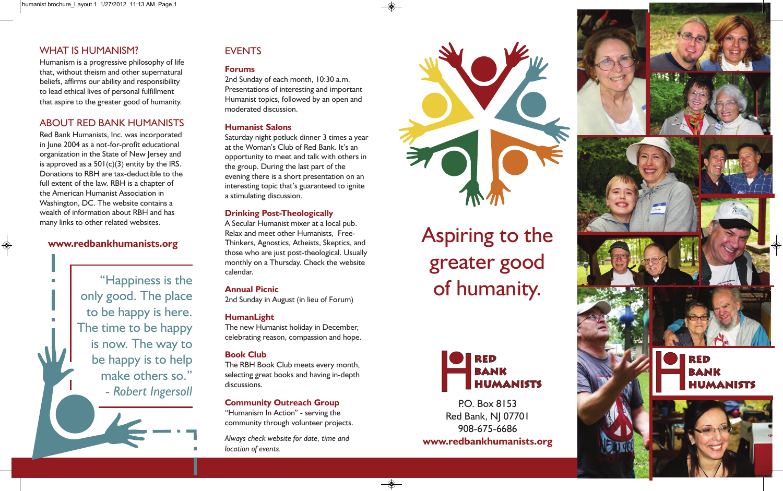## WHAT IS HUMANISM?

Humanism is a progressive philosophy of life that, without theism and other supernatural beliefs, affirms our ability and responsibility to lead ethical lives of personal fulfillment that aspire to the greater good of humanity.

## ABOUT RED BANK HUMANISTS

Red Bank Humanists, Inc. was incorporated in June 2004 as a not-for-profit educational organization in the State of New Jersey and is approved as a  $501(c)(3)$  entity by the IRS. Donations to RBH are tax-deductible to the full extent of the law. RBH is a chapter of the American Humanist Association in Washington, DC. The website contains a wealth of information about RBH and has many links to other related websites.

#### **www.redbankhumanists.org**

"Happiness is the only good. The place to be happy is here. The time to be happy is now. The way to be happy is to help make others so." *- Robert Ingersoll*

# **EVENTS**

#### **Forums**

2nd Sunday of each month, 10:30 a.m. Presentations of interesting and important Humanist topics, followed by an open and moderated discussion.

#### **Humanist Salons**

Saturday night potluck dinner 3 times a year at the Woman's Club of Red Bank. It's an opportunity to meet and talk with others in the group. During the last part of the evening there is a short presentation on an interesting topic that's guaranteed to ignite a stimulating discussion.

#### **Drinking Post-Theologically**

A Secular Humanist mixer at a local pub. Relax and meet other Humanists, Free-Thinkers, Agnostics, Atheists, Skeptics, and those who are just post-theological. Usually monthly on a Thursday. Check the website calendar.

## **Annual Picnic**

2nd Sunday in August (in lieu of Forum)

## **HumanLight**

The new Humanist holiday in December, celebrating reason, compassion and hope.

#### **Book Club**

The RBH Book Club meets every month, selecting great books and having in-depth discussions.

#### **Community Outreach Group**

"Humanism In Action" - serving the community through volunteer projects.

*Always check website for date, time and location of events.*



# Aspiring to the greater good of humanity.



P.O. Box 8153 Red Bank, NJ 07701 908-675-6686 **www.redbankhumanists.org**